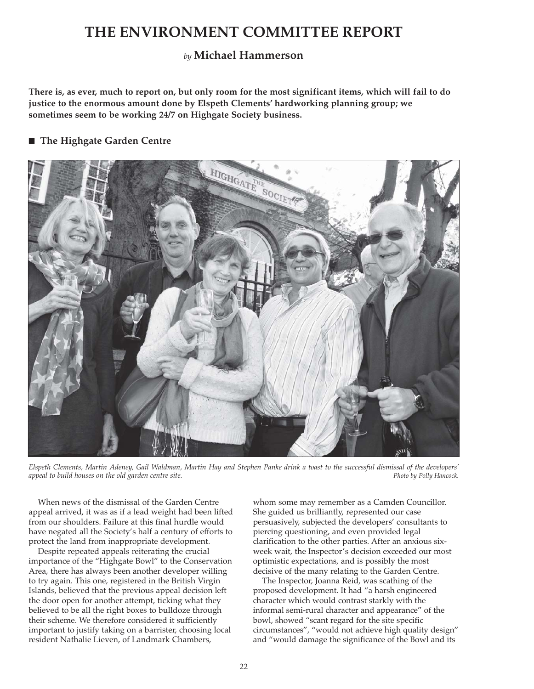# **THE ENVIRONMENT COMMITTEE REPORT**

# *by* **Michael Hammerson**

**There is, as ever, much to report on, but only room for the most significant items, which will fail to do justice to the enormous amount done by Elspeth Clements' hardworking planning group; we sometimes seem to be working 24/7 on Highgate Society business.**

# ■ The Highgate Garden Centre



*Elspeth Clements, Martin Adeney, Gail Waldman, Martin Hay and Stephen Panke drink a toast to the successful dismissal of the developers' appeal to build houses on the old garden centre site. Photo by Polly Hancock.*

When news of the dismissal of the Garden Centre appeal arrived, it was as if a lead weight had been lifted from our shoulders. Failure at this final hurdle would have negated all the Society's half a century of efforts to protect the land from inappropriate development.

Despite repeated appeals reiterating the crucial importance of the "Highgate Bowl" to the Conservation Area, there has always been another developer willing to try again. This one, registered in the British Virgin Islands, believed that the previous appeal decision left the door open for another attempt, ticking what they believed to be all the right boxes to bulldoze through their scheme. We therefore considered it sufficiently important to justify taking on a barrister, choosing local resident Nathalie Lieven, of Landmark Chambers,

whom some may remember as a Camden Councillor. She guided us brilliantly, represented our case persuasively, subjected the developers' consultants to piercing questioning, and even provided legal clarification to the other parties. After an anxious sixweek wait, the Inspector's decision exceeded our most optimistic expectations, and is possibly the most decisive of the many relating to the Garden Centre.

The Inspector, Joanna Reid, was scathing of the proposed development. It had "a harsh engineered character which would contrast starkly with the informal semi-rural character and appearance" of the bowl, showed "scant regard for the site specific circumstances", "would not achieve high quality design" and "would damage the significance of the Bowl and its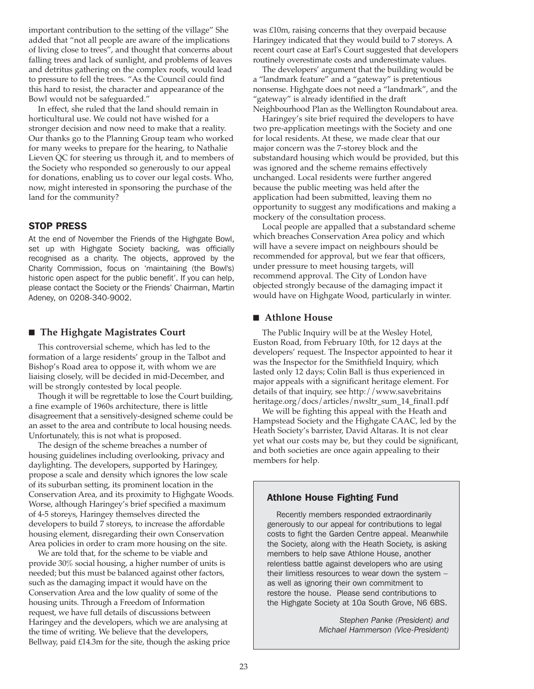important contribution to the setting of the village" She added that "not all people are aware of the implications of living close to trees", and thought that concerns about falling trees and lack of sunlight, and problems of leaves and detritus gathering on the complex roofs, would lead to pressure to fell the trees. "As the Council could find this hard to resist, the character and appearance of the Bowl would not be safeguarded."

In effect, she ruled that the land should remain in horticultural use. We could not have wished for a stronger decision and now need to make that a reality. Our thanks go to the Planning Group team who worked for many weeks to prepare for the hearing, to Nathalie Lieven QC for steering us through it, and to members of the Society who responded so generously to our appeal for donations, enabling us to cover our legal costs. Who, now, might interested in sponsoring the purchase of the land for the community?

#### STOP PRESS

At the end of November the Friends of the Highgate Bowl, set up with Highgate Society backing, was officially recognised as a charity. The objects, approved by the Charity Commission, focus on 'maintaining (the Bowl's) historic open aspect for the public benefit'. If you can help, please contact the Society or the Friends' Chairman, Martin Adeney, on 0208-340-9002.

# ■ The Highgate Magistrates Court

This controversial scheme, which has led to the formation of a large residents' group in the Talbot and Bishop's Road area to oppose it, with whom we are liaising closely, will be decided in mid-December, and will be strongly contested by local people.

Though it will be regrettable to lose the Court building, a fine example of 1960s architecture, there is little disagreement that a sensitively-designed scheme could be an asset to the area and contribute to local housing needs. Unfortunately, this is not what is proposed.

The design of the scheme breaches a number of housing guidelines including overlooking, privacy and daylighting. The developers, supported by Haringey, propose a scale and density which ignores the low scale of its suburban setting, its prominent location in the Conservation Area, and its proximity to Highgate Woods. Worse, although Haringey's brief specified a maximum of 4-5 storeys, Haringey themselves directed the developers to build 7 storeys, to increase the affordable housing element, disregarding their own Conservation Area policies in order to cram more housing on the site.

We are told that, for the scheme to be viable and provide 30% social housing, a higher number of units is needed; but this must be balanced against other factors, such as the damaging impact it would have on the Conservation Area and the low quality of some of the housing units. Through a Freedom of Information request, we have full details of discussions between Haringey and the developers, which we are analysing at the time of writing. We believe that the developers, Bellway, paid £14.3m for the site, though the asking price was £10m, raising concerns that they overpaid because Haringey indicated that they would build to 7 storeys. A recent court case at Earl's Court suggested that developers routinely overestimate costs and underestimate values.

The developers' argument that the building would be a "landmark feature" and a "gateway" is pretentious nonsense. Highgate does not need a "landmark", and the "gateway" is already identified in the draft Neighbourhood Plan as the Wellington Roundabout area.

Haringey's site brief required the developers to have two pre-application meetings with the Society and one for local residents. At these, we made clear that our major concern was the 7-storey block and the substandard housing which would be provided, but this was ignored and the scheme remains effectively unchanged. Local residents were further angered because the public meeting was held after the application had been submitted, leaving them no opportunity to suggest any modifications and making a mockery of the consultation process.

Local people are appalled that a substandard scheme which breaches Conservation Area policy and which will have a severe impact on neighbours should be recommended for approval, but we fear that officers, under pressure to meet housing targets, will recommend approval. The City of London have objected strongly because of the damaging impact it would have on Highgate Wood, particularly in winter.

#### ■ Athlone House

The Public Inquiry will be at the Wesley Hotel, Euston Road, from February 10th, for 12 days at the developers' request. The Inspector appointed to hear it was the Inspector for the Smithfield Inquiry, which lasted only 12 days; Colin Ball is thus experienced in major appeals with a significant heritage element. For details of that inquiry, see http://www.savebritains heritage.org/docs/articles/nwsltr\_sum\_14\_final1.pdf

We will be fighting this appeal with the Heath and Hampstead Society and the Highgate CAAC, led by the Heath Society's barrister, David Altaras. It is not clear yet what our costs may be, but they could be significant, and both societies are once again appealing to their members for help.

#### Athlone House Fighting Fund

Recently members responded extraordinarily generously to our appeal for contributions to legal costs to fight the Garden Centre appeal. Meanwhile the Society, along with the Heath Society, is asking members to help save Athlone House, another relentless battle against developers who are using their limitless resources to wear down the system – as well as ignoring their own commitment to restore the house. Please send contributions to the Highgate Society at 10a South Grove, N6 6BS.

> *Stephen Panke (President) and Michael Hammerson (Vice-President)*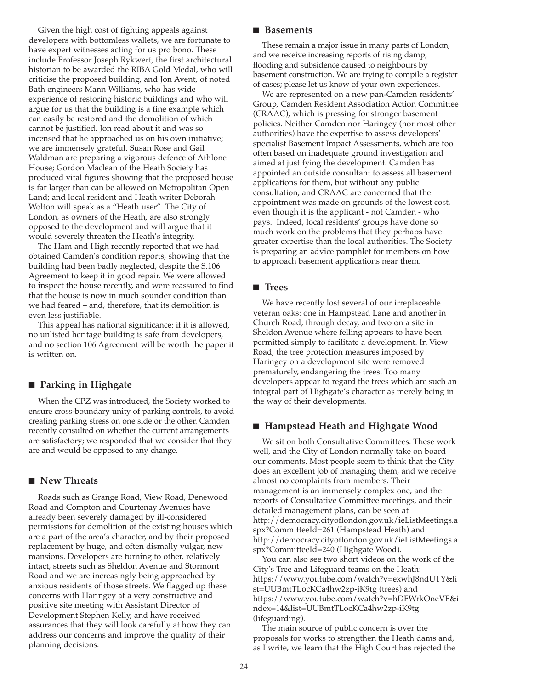Given the high cost of fighting appeals against developers with bottomless wallets, we are fortunate to have expert witnesses acting for us pro bono. These include Professor Joseph Rykwert, the first architectural historian to be awarded the RIBA Gold Medal, who will criticise the proposed building, and Jon Avent, of noted Bath engineers Mann Williams, who has wide experience of restoring historic buildings and who will argue for us that the building is a fine example which can easily be restored and the demolition of which cannot be justified. Jon read about it and was so incensed that he approached us on his own initiative; we are immensely grateful. Susan Rose and Gail Waldman are preparing a vigorous defence of Athlone House; Gordon Maclean of the Heath Society has produced vital figures showing that the proposed house is far larger than can be allowed on Metropolitan Open Land; and local resident and Heath writer Deborah Wolton will speak as a "Heath user". The City of London, as owners of the Heath, are also strongly opposed to the development and will argue that it would severely threaten the Heath's integrity.

The Ham and High recently reported that we had obtained Camden's condition reports, showing that the building had been badly neglected, despite the S.106 Agreement to keep it in good repair. We were allowed to inspect the house recently, and were reassured to find that the house is now in much sounder condition than we had feared – and, therefore, that its demolition is even less justifiable.

This appeal has national significance: if it is allowed, no unlisted heritage building is safe from developers, and no section 106 Agreement will be worth the paper it is written on.

# **■ Parking in Highgate**

When the CPZ was introduced, the Society worked to ensure cross-boundary unity of parking controls, to avoid creating parking stress on one side or the other. Camden recently consulted on whether the current arrangements are satisfactory; we responded that we consider that they are and would be opposed to any change.

# ■ New Threats

Roads such as Grange Road, View Road, Denewood Road and Compton and Courtenay Avenues have already been severely damaged by ill-considered permissions for demolition of the existing houses which are a part of the area's character, and by their proposed replacement by huge, and often dismally vulgar, new mansions. Developers are turning to other, relatively intact, streets such as Sheldon Avenue and Stormont Road and we are increasingly being approached by anxious residents of those streets. We flagged up these concerns with Haringey at a very constructive and positive site meeting with Assistant Director of Development Stephen Kelly, and have received assurances that they will look carefully at how they can address our concerns and improve the quality of their planning decisions.

#### ■ Basements

These remain a major issue in many parts of London, and we receive increasing reports of rising damp, flooding and subsidence caused to neighbours by basement construction. We are trying to compile a register of cases; please let us know of your own experiences.

We are represented on a new pan-Camden residents' Group, Camden Resident Association Action Committee (CRAAC), which is pressing for stronger basement policies. Neither Camden nor Haringey (nor most other authorities) have the expertise to assess developers' specialist Basement Impact Assessments, which are too often based on inadequate ground investigation and aimed at justifying the development. Camden has appointed an outside consultant to assess all basement applications for them, but without any public consultation, and CRAAC are concerned that the appointment was made on grounds of the lowest cost, even though it is the applicant - not Camden - who pays. Indeed, local residents' groups have done so much work on the problems that they perhaps have greater expertise than the local authorities. The Society is preparing an advice pamphlet for members on how to approach basement applications near them.

#### ■ **Trees**

We have recently lost several of our irreplaceable veteran oaks: one in Hampstead Lane and another in Church Road, through decay, and two on a site in Sheldon Avenue where felling appears to have been permitted simply to facilitate a development. In View Road, the tree protection measures imposed by Haringey on a development site were removed prematurely, endangering the trees. Too many developers appear to regard the trees which are such an integral part of Highgate's character as merely being in the way of their developments.

# ■ Hampstead Heath and Highgate Wood

We sit on both Consultative Committees. These work well, and the City of London normally take on board our comments. Most people seem to think that the City does an excellent job of managing them, and we receive almost no complaints from members. Their management is an immensely complex one, and the reports of Consultative Committee meetings, and their detailed management plans, can be seen at http://democracy.cityoflondon.gov.uk/ieListMeetings.a spx?CommitteeId=261 (Hampstead Heath) and http://democracy.cityoflondon.gov.uk/ieListMeetings.a spx?CommitteeId=240 (Highgate Wood).

You can also see two short videos on the work of the City's Tree and Lifeguard teams on the Heath: https://www.youtube.com/watch?v=exwhJ8ndUTY&li st=UUBmtTLocKCa4hw2zp-iK9tg (trees) and https://www.youtube.com/watch?v=hDFWrkOneVE&i ndex=14&list=UUBmtTLocKCa4hw2zp-iK9tg (lifeguarding).

The main source of public concern is over the proposals for works to strengthen the Heath dams and, as I write, we learn that the High Court has rejected the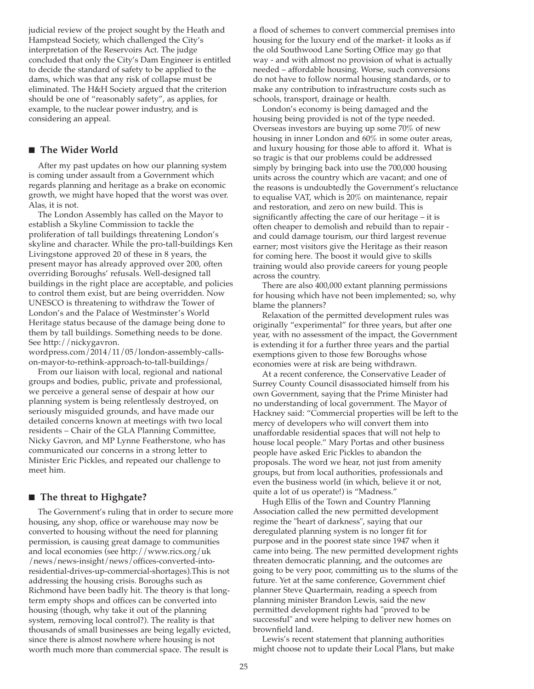judicial review of the project sought by the Heath and Hampstead Society, which challenged the City's interpretation of the Reservoirs Act. The judge concluded that only the City's Dam Engineer is entitled to decide the standard of safety to be applied to the dams, which was that any risk of collapse must be eliminated. The H&H Society argued that the criterion should be one of "reasonably safety", as applies, for example, to the nuclear power industry, and is considering an appeal.

### ■ The Wider World

After my past updates on how our planning system is coming under assault from a Government which regards planning and heritage as a brake on economic growth, we might have hoped that the worst was over. Alas, it is not.

The London Assembly has called on the Mayor to establish a Skyline Commission to tackle the proliferation of tall buildings threatening London's skyline and character. While the pro-tall-buildings Ken Livingstone approved 20 of these in 8 years, the present mayor has already approved over 200, often overriding Boroughs' refusals. Well-designed tall buildings in the right place are acceptable, and policies to control them exist, but are being overridden. Now UNESCO is threatening to withdraw the Tower of London's and the Palace of Westminster's World Heritage status because of the damage being done to them by tall buildings. Something needs to be done. See http://nickygavron.

wordpress.com/2014/11/05/london-assembly-callson-mayor-to-rethink-approach-to-tall-buildings/

From our liaison with local, regional and national groups and bodies, public, private and professional, we perceive a general sense of despair at how our planning system is being relentlessly destroyed, on seriously misguided grounds, and have made our detailed concerns known at meetings with two local residents – Chair of the GLA Planning Committee, Nicky Gavron, and MP Lynne Featherstone, who has communicated our concerns in a strong letter to Minister Eric Pickles, and repeated our challenge to meet him.

#### ■ The threat to Highgate?

The Government's ruling that in order to secure more housing, any shop, office or warehouse may now be converted to housing without the need for planning permission, is causing great damage to communities and local economies (see http://www.rics.org/uk /news/news-insight/news/offices-converted-intoresidential-drives-up-commercial-shortages).This is not addressing the housing crisis. Boroughs such as Richmond have been badly hit. The theory is that longterm empty shops and offices can be converted into housing (though, why take it out of the planning system, removing local control?). The reality is that thousands of small businesses are being legally evicted, since there is almost nowhere where housing is not worth much more than commercial space. The result is

a flood of schemes to convert commercial premises into housing for the luxury end of the market- it looks as if the old Southwood Lane Sorting Office may go that way - and with almost no provision of what is actually needed – affordable housing. Worse, such conversions do not have to follow normal housing standards, or to make any contribution to infrastructure costs such as schools, transport, drainage or health.

London's economy is being damaged and the housing being provided is not of the type needed. Overseas investors are buying up some 70% of new housing in inner London and 60% in some outer areas, and luxury housing for those able to afford it. What is so tragic is that our problems could be addressed simply by bringing back into use the 700,000 housing units across the country which are vacant; and one of the reasons is undoubtedly the Government's reluctance to equalise VAT, which is 20% on maintenance, repair and restoration, and zero on new build. This is significantly affecting the care of our heritage – it is often cheaper to demolish and rebuild than to repair and could damage tourism, our third largest revenue earner; most visitors give the Heritage as their reason for coming here. The boost it would give to skills training would also provide careers for young people across the country.

There are also 400,000 extant planning permissions for housing which have not been implemented; so, why blame the planners?

Relaxation of the permitted development rules was originally "experimental" for three years, but after one year, with no assessment of the impact, the Government is extending it for a further three years and the partial exemptions given to those few Boroughs whose economies were at risk are being withdrawn.

At a recent conference, the Conservative Leader of Surrey County Council disassociated himself from his own Government, saying that the Prime Minister had no understanding of local government. The Mayor of Hackney said: "Commercial properties will be left to the mercy of developers who will convert them into unaffordable residential spaces that will not help to house local people." Mary Portas and other business people have asked Eric Pickles to abandon the proposals. The word we hear, not just from amenity groups, but from local authorities, professionals and even the business world (in which, believe it or not, quite a lot of us operate!) is "Madness."

Hugh Ellis of the Town and Country Planning Association called the new permitted development regime the "heart of darkness", saying that our deregulated planning system is no longer fit for purpose and in the poorest state since 1947 when it came into being. The new permitted development rights threaten democratic planning, and the outcomes are going to be very poor, committing us to the slums of the future. Yet at the same conference, Government chief planner Steve Quartermain, reading a speech from planning minister Brandon Lewis, said the new permitted development rights had "proved to be successful" and were helping to deliver new homes on brownfield land.

Lewis's recent statement that planning authorities might choose not to update their Local Plans, but make